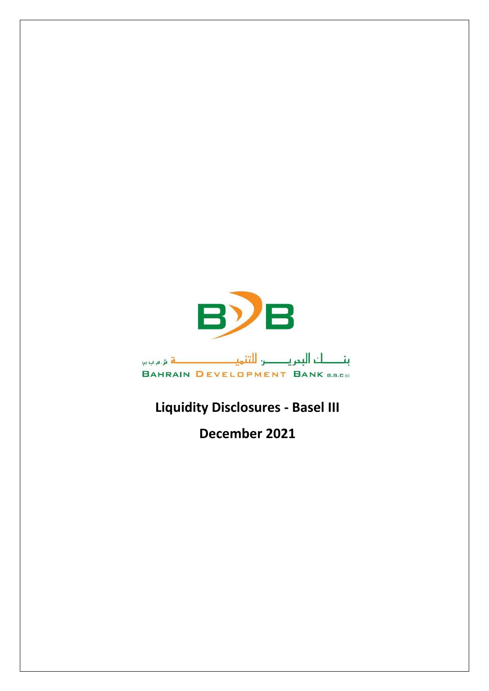

## **Liquidity Disclosures - Basel III**

**December 2021**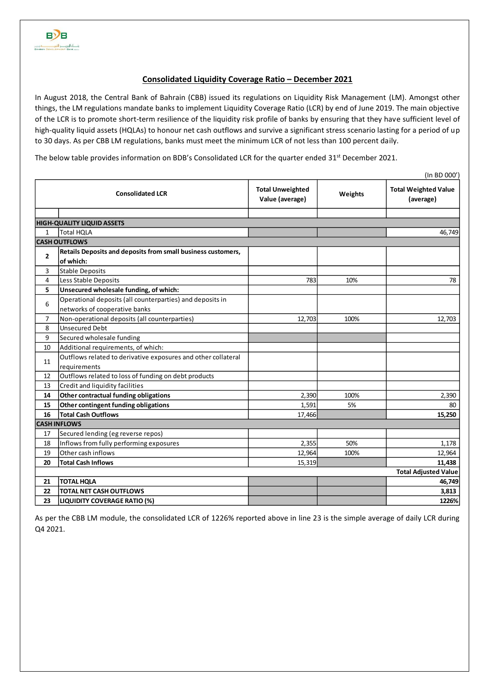## **Consolidated Liquidity Coverage Ratio – December 2021**

In August 2018, the Central Bank of Bahrain (CBB) issued its regulations on Liquidity Risk Management (LM). Amongst other things, the LM regulations mandate banks to implement Liquidity Coverage Ratio (LCR) by end of June 2019. The main objective of the LCR is to promote short-term resilience of the liquidity risk profile of banks by ensuring that they have sufficient level of high-quality liquid assets (HQLAs) to honour net cash outflows and survive a significant stress scenario lasting for a period of up to 30 days. As per CBB LM regulations, banks must meet the minimum LCR of not less than 100 percent daily.

The below table provides information on BDB's Consolidated LCR for the quarter ended 31<sup>st</sup> December 2021.

|                                   | (In BD 000')                                                                               |                                            |         |                                          |  |  |  |  |  |  |
|-----------------------------------|--------------------------------------------------------------------------------------------|--------------------------------------------|---------|------------------------------------------|--|--|--|--|--|--|
| <b>Consolidated LCR</b>           |                                                                                            | <b>Total Unweighted</b><br>Value (average) | Weights | <b>Total Weighted Value</b><br>(average) |  |  |  |  |  |  |
|                                   |                                                                                            |                                            |         |                                          |  |  |  |  |  |  |
| <b>HIGH-QUALITY LIQUID ASSETS</b> |                                                                                            |                                            |         |                                          |  |  |  |  |  |  |
| $\mathbf{1}$                      | <b>Total HOLA</b>                                                                          |                                            |         | 46,749                                   |  |  |  |  |  |  |
| <b>CASH OUTFLOWS</b>              |                                                                                            |                                            |         |                                          |  |  |  |  |  |  |
| $\overline{2}$                    | Retails Deposits and deposits from small business customers,<br>of which:                  |                                            |         |                                          |  |  |  |  |  |  |
| 3                                 | Stable Deposits                                                                            |                                            |         |                                          |  |  |  |  |  |  |
| 4                                 | Less Stable Deposits                                                                       | 783                                        | 10%     | 78                                       |  |  |  |  |  |  |
| 5                                 | Unsecured wholesale funding, of which:                                                     |                                            |         |                                          |  |  |  |  |  |  |
| 6                                 | Operational deposits (all counterparties) and deposits in<br>networks of cooperative banks |                                            |         |                                          |  |  |  |  |  |  |
| $\overline{7}$                    | Non-operational deposits (all counterparties)                                              | 12,703                                     | 100%    | 12,703                                   |  |  |  |  |  |  |
| 8                                 | <b>Unsecured Debt</b>                                                                      |                                            |         |                                          |  |  |  |  |  |  |
| 9                                 | Secured wholesale funding                                                                  |                                            |         |                                          |  |  |  |  |  |  |
| 10                                | Additional requirements, of which:                                                         |                                            |         |                                          |  |  |  |  |  |  |
| 11                                | Outflows related to derivative exposures and other collateral<br>requirements              |                                            |         |                                          |  |  |  |  |  |  |
| 12                                | Outflows related to loss of funding on debt products                                       |                                            |         |                                          |  |  |  |  |  |  |
| 13                                | Credit and liquidity facilities                                                            |                                            |         |                                          |  |  |  |  |  |  |
| 14                                | Other contractual funding obligations                                                      | 2,390                                      | 100%    | 2,390                                    |  |  |  |  |  |  |
| 15                                | Other contingent funding obligations                                                       | 1,591                                      | 5%      | 80                                       |  |  |  |  |  |  |
| 16                                | <b>Total Cash Outflows</b>                                                                 | 17,466                                     |         | 15,250                                   |  |  |  |  |  |  |
|                                   | <b>CASH INFLOWS</b>                                                                        |                                            |         |                                          |  |  |  |  |  |  |
| 17                                | Secured lending (eg reverse repos)                                                         |                                            |         |                                          |  |  |  |  |  |  |
| 18                                | Inflows from fully performing exposures                                                    | 2,355                                      | 50%     | 1,178                                    |  |  |  |  |  |  |
| 19                                | Other cash inflows                                                                         | 12,964                                     | 100%    | 12,964                                   |  |  |  |  |  |  |
| 20                                | <b>Total Cash Inflows</b>                                                                  | 15,319                                     |         | 11,438                                   |  |  |  |  |  |  |
| <b>Total Adjusted Value</b>       |                                                                                            |                                            |         |                                          |  |  |  |  |  |  |
| 21                                | <b>TOTAL HQLA</b>                                                                          |                                            |         | 46,749                                   |  |  |  |  |  |  |
| 22                                | <b>TOTAL NET CASH OUTFLOWS</b>                                                             |                                            |         | 3,813                                    |  |  |  |  |  |  |
| 23                                | <b>LIQUIDITY COVERAGE RATIO (%)</b>                                                        |                                            |         | 1226%                                    |  |  |  |  |  |  |

As per the CBB LM module, the consolidated LCR of 1226% reported above in line 23 is the simple average of daily LCR during Q4 2021.